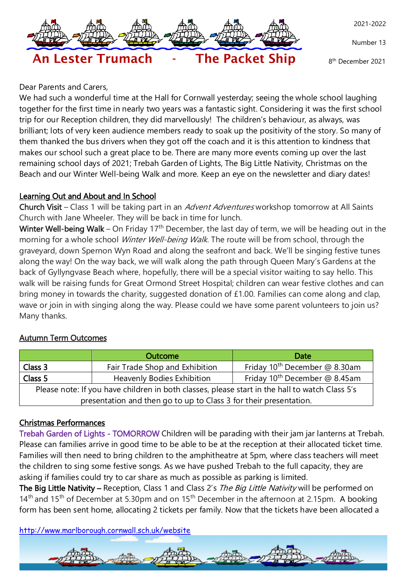

2021-2022

Number 13

8 th December 2021

## Dear Parents and Carers,

We had such a wonderful time at the Hall for Cornwall yesterday; seeing the whole school laughing together for the first time in nearly two years was a fantastic sight. Considering it was the first school trip for our Reception children, they did marvellously! The children's behaviour, as always, was brilliant; lots of very keen audience members ready to soak up the positivity of the story. So many of them thanked the bus drivers when they got off the coach and it is this attention to kindness that makes our school such a great place to be. There are many more events coming up over the last remaining school days of 2021; Trebah Garden of Lights, The Big Little Nativity, Christmas on the Beach and our Winter Well-being Walk and more. Keep an eye on the newsletter and diary dates!

## Learning Out and About and In School

Church Visit – Class 1 will be taking part in an Advent Adventures workshop tomorrow at All Saints Church with Jane Wheeler. They will be back in time for lunch.

Winter Well-being Walk – On Friday  $17<sup>th</sup>$  December, the last day of term, we will be heading out in the morning for a whole school Winter Well-being Walk. The route will be from school, through the graveyard, down Spernon Wyn Road and along the seafront and back. We'll be singing festive tunes along the way! On the way back, we will walk along the path through Queen Mary's Gardens at the back of Gyllyngvase Beach where, hopefully, there will be a special visitor waiting to say hello. This walk will be raising funds for Great Ormond Street Hospital; children can wear festive clothes and can bring money in towards the charity, suggested donation of £1.00. Families can come along and clap, wave or join in with singing along the way. Please could we have some parent volunteers to join us? Many thanks.

# Autumn Term Outcomes

|                                                                                                | <b>Outcome</b>                    | Date                                      |
|------------------------------------------------------------------------------------------------|-----------------------------------|-------------------------------------------|
| Class 3                                                                                        | Fair Trade Shop and Exhibition    | Friday 10 <sup>th</sup> December @ 8.30am |
| Class 5                                                                                        | <b>Heavenly Bodies Exhibition</b> | Friday 10 <sup>th</sup> December @ 8.45am |
| Please note: If you have children in both classes, please start in the hall to watch Class 5's |                                   |                                           |
| presentation and then go to up to Class 3 for their presentation.                              |                                   |                                           |

# Christmas Performances

Trebah Garden of Lights - TOMORROW Children will be parading with their jam jar lanterns at Trebah. Please can families arrive in good time to be able to be at the reception at their allocated ticket time. Families will then need to bring children to the amphitheatre at 5pm, where class teachers will meet the children to sing some festive songs. As we have pushed Trebah to the full capacity, they are asking if families could try to car share as much as possible as parking is limited.

The Big Little Nativity – Reception, Class 1 and Class 2's The Big Little Nativity will be performed on 14<sup>th</sup> and 15<sup>th</sup> of December at 5.30pm and on 15<sup>th</sup> December in the afternoon at 2.15pm. A booking form has been sent home, allocating 2 tickets per family. Now that the tickets have been allocated a

<http://www.marlborough.cornwall.sch.uk/website>

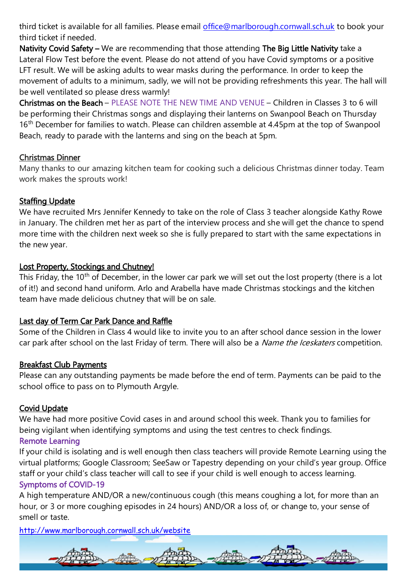third ticket is available for all families. Please email [office@marlborough.cornwall.sch.uk](mailto:office@marlborough.cornwall.sch.uk) to book your third ticket if needed.

Nativity Covid Safety – We are recommending that those attending The Big Little Nativity take a Lateral Flow Test before the event. Please do not attend of you have Covid symptoms or a positive LFT result. We will be asking adults to wear masks during the performance. In order to keep the movement of adults to a minimum, sadly, we will not be providing refreshments this year. The hall will be well ventilated so please dress warmly!

Christmas on the Beach – PLEASE NOTE THE NEW TIME AND VENUE – Children in Classes 3 to 6 will be performing their Christmas songs and displaying their lanterns on Swanpool Beach on Thursday 16<sup>th</sup> December for families to watch. Please can children assemble at 4.45pm at the top of Swanpool Beach, ready to parade with the lanterns and sing on the beach at 5pm.

## Christmas Dinner

Many thanks to our amazing kitchen team for cooking such a delicious Christmas dinner today. Team work makes the sprouts work!

# Staffing Update

We have recruited Mrs Jennifer Kennedy to take on the role of Class 3 teacher alongside Kathy Rowe in January. The children met her as part of the interview process and she will get the chance to spend more time with the children next week so she is fully prepared to start with the same expectations in the new year.

# Lost Property, Stockings and Chutney!

This Friday, the 10<sup>th</sup> of December, in the lower car park we will set out the lost property (there is a lot of it!) and second hand uniform. Arlo and Arabella have made Christmas stockings and the kitchen team have made delicious chutney that will be on sale.

# Last day of Term Car Park Dance and Raffle

Some of the Children in Class 4 would like to invite you to an after school dance session in the lower car park after school on the last Friday of term. There will also be a Name the Iceskaters competition.

#### Breakfast Club Payments

Please can any outstanding payments be made before the end of term. Payments can be paid to the school office to pass on to Plymouth Argyle.

# Covid Update

We have had more positive Covid cases in and around school this week. Thank you to families for being vigilant when identifying symptoms and using the test centres to check findings. Remote Learning

If your child is isolating and is well enough then class teachers will provide Remote Learning using the virtual platforms; Google Classroom; SeeSaw or Tapestry depending on your child's year group. Office staff or your child's class teacher will call to see if your child is well enough to access learning.

# Symptoms of COVID-19

A high temperature AND/OR a new/continuous cough (this means coughing a lot, for more than an hour, or 3 or more coughing episodes in 24 hours) AND/OR a loss of, or change to, your sense of smell or taste.

<http://www.marlborough.cornwall.sch.uk/website>